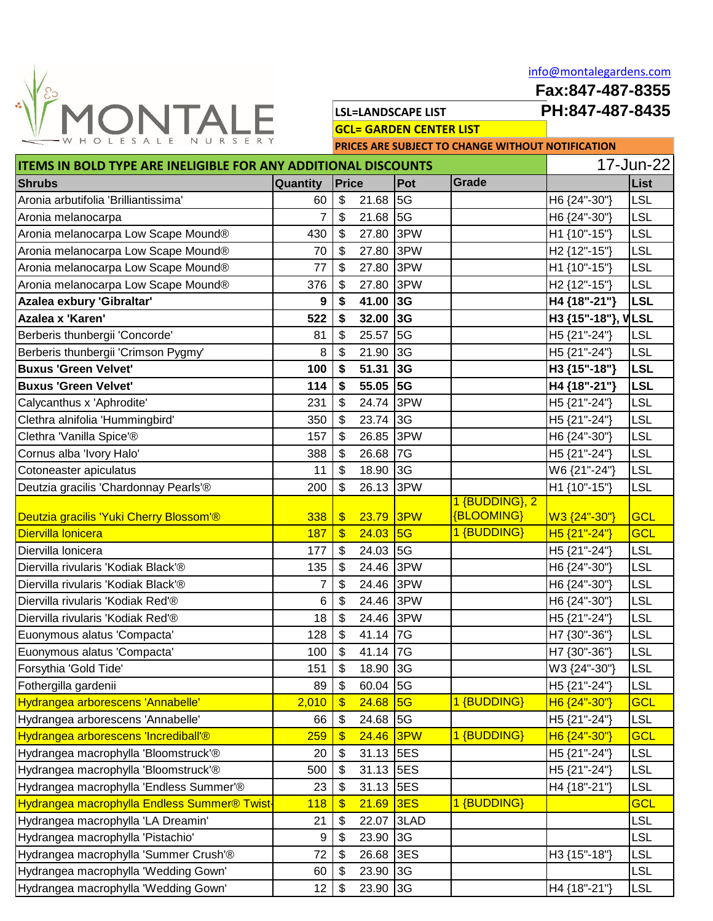

[i](mailto:info@montalegardens.com)nfo@montalegardens.com

**Fax:847-487-8355**

**LSL=LANDSCAPE LIST PH:847-487-8435**

**GCL= GARDEN CENTER LIST**

**PRICES ARE SUBJECT TO CHANGE WITHOUT NOTIFICATION**

| <b>ITEMS IN BOLD TYPE ARE INELIGIBLE FOR ANY ADDITIONAL DISCOUNTS</b> |            |                           |           |                |                | 17-Jun-22                |            |  |
|-----------------------------------------------------------------------|------------|---------------------------|-----------|----------------|----------------|--------------------------|------------|--|
| <b>Shrubs</b>                                                         | Quantity   | <b>Price</b>              |           | Pot            | Grade          |                          | List       |  |
| Aronia arbutifolia 'Brilliantissima'                                  | 60         | \$                        | 21.68     | 5G             |                | H6 {24"-30"}             | <b>LSL</b> |  |
| Aronia melanocarpa                                                    | 7          | \$                        | 21.68     | 5G             |                | H6 {24"-30"}             | <b>LSL</b> |  |
| Aronia melanocarpa Low Scape Mound®                                   | 430        | \$                        | 27.80     | 3PW            |                | H1 {10"-15"}             | <b>LSL</b> |  |
| Aronia melanocarpa Low Scape Mound®                                   | 70         | \$                        | 27.80     | 3PW            |                | H <sub>2</sub> {12"-15"} | <b>LSL</b> |  |
| Aronia melanocarpa Low Scape Mound®                                   | 77         | $\boldsymbol{\mathsf{S}}$ | 27.80     | 3PW            |                | H1 {10"-15"}             | <b>LSL</b> |  |
| Aronia melanocarpa Low Scape Mound®                                   | 376        | \$                        | 27.80     | 3PW            |                | H <sub>2</sub> {12"-15"} | <b>LSL</b> |  |
| Azalea exbury 'Gibraltar'                                             | 9          | \$                        | 41.00     | 3G             |                | H4 {18"-21"}             | <b>LSL</b> |  |
| Azalea x 'Karen'                                                      | 522        | \$                        | 32.00     | 3G             |                | H3 {15"-18"}, VLSL       |            |  |
| Berberis thunbergii 'Concorde'                                        | 81         | \$                        | 25.57     | 5G             |                | H5 {21"-24"}             | <b>LSL</b> |  |
| Berberis thunbergii 'Crimson Pygmy'                                   | 8          | \$                        | 21.90     | 3G             |                | H5 {21"-24"}             | <b>LSL</b> |  |
| <b>Buxus 'Green Velvet'</b>                                           | 100        | \$                        | 51.31     | 3G             |                | H3 {15"-18"}             | <b>LSL</b> |  |
| <b>Buxus 'Green Velvet'</b>                                           | 114        | \$                        | 55.05     | 5G             |                | H4 {18"-21"}             | <b>LSL</b> |  |
| Calycanthus x 'Aphrodite'                                             | 231        | \$                        | 24.74     | 3PW            |                | H5 {21"-24"}             | <b>LSL</b> |  |
| Clethra alnifolia 'Hummingbird'                                       | 350        | \$                        | 23.74     | $\overline{3}$ |                | H5 {21"-24"}             | <b>LSL</b> |  |
| Clethra 'Vanilla Spice'®                                              | 157        | \$                        | 26.85     | 3PW            |                | H6 {24"-30"}             | <b>LSL</b> |  |
| Cornus alba 'Ivory Halo'                                              | 388        | \$                        | 26.68     | 7G             |                | H5 {21"-24"}             | <b>LSL</b> |  |
| Cotoneaster apiculatus                                                | 11         | $\boldsymbol{\mathsf{S}}$ | 18.90     | 3G             |                | W6 {21"-24"}             | <b>LSL</b> |  |
| Deutzia gracilis 'Chardonnay Pearls'®                                 | 200        | \$                        | 26.13     | 3PW            |                | H1 {10"-15"}             | <b>LSL</b> |  |
|                                                                       |            |                           |           |                | 1 {BUDDING}, 2 |                          |            |  |
| Deutzia gracilis 'Yuki Cherry Blossom'®                               | 338        | $\sqrt[6]{\frac{1}{2}}$   | 23.79     | 3PW            | {BLOOMING}     | W3 {24"-30"}             | <b>GCL</b> |  |
| Diervilla Ionicera                                                    | 187        | $\sqrt[6]{\frac{1}{2}}$   | 24.03     | 5G             | 1 {BUDDING}    | H <sub>5</sub> {21"-24"} | <b>GCL</b> |  |
| Diervilla lonicera                                                    | 177        | \$                        | 24.03     | 5G             |                | H5 {21"-24"}             | <b>LSL</b> |  |
| Diervilla rivularis 'Kodiak Black'®                                   | 135        | \$                        | 24.46     | 3PW            |                | H6 {24"-30"}             | <b>LSL</b> |  |
| Diervilla rivularis 'Kodiak Black'®                                   | 7          | \$                        | 24.46     | 3PW            |                | H6 {24"-30"}             | <b>LSL</b> |  |
| Diervilla rivularis 'Kodiak Red'®                                     | 6          | \$                        | 24.46 3PW |                |                | H6 {24"-30"}             | <b>LSL</b> |  |
| Diervilla rivularis 'Kodiak Red'®                                     | 18         | \$                        | 24.46     | 3PW            |                | H5 {21"-24"}             | <b>LSL</b> |  |
| Euonymous alatus 'Compacta'                                           | 128        | \$                        | 41.14     | 17G            |                | H7 {30"-36"}             | <b>LSL</b> |  |
| Euonymous alatus 'Compacta'                                           | 100        | $\boldsymbol{\mathsf{S}}$ | 41.14     | 17G            |                | H7 {30"-36"}             | <b>LSL</b> |  |
| Forsythia 'Gold Tide'                                                 | 151        | \$                        | 18.90     | $\overline{3}$ |                | W3 {24"-30"}             | <b>LSL</b> |  |
| Fothergilla gardenii                                                  | 89         | \$                        | 60.04 5G  |                |                | H5 {21"-24"}             | <b>LSL</b> |  |
| Hydrangea arborescens 'Annabelle'                                     | 2,010      | $\sqrt[6]{\frac{1}{2}}$   | 24.68     | 5G             | 1 {BUDDING}    | H6 {24"-30"}             | <b>GCL</b> |  |
| Hydrangea arborescens 'Annabelle'                                     | 66         | \$                        | 24.68 5G  |                |                | H5 {21"-24"}             | <b>LSL</b> |  |
| Hydrangea arborescens 'Incrediball'®                                  | 259        | $\frac{1}{2}$             | 24.46 3PW |                | 1 {BUDDING}    | H6 {24"-30"}             | <b>GCL</b> |  |
| Hydrangea macrophylla 'Bloomstruck'®                                  | 20         | \$                        | 31.13 5ES |                |                | H5 {21"-24"}             | <b>LSL</b> |  |
| Hydrangea macrophylla 'Bloomstruck'®                                  | 500        | \$                        | 31.13 5ES |                |                | H5 {21"-24"}             | <b>LSL</b> |  |
| Hydrangea macrophylla 'Endless Summer'®                               | 23         | \$                        | 31.13     | 5ES            |                | H4 {18"-21"}             | <b>LSL</b> |  |
| Hydrangea macrophylla Endless Summer® Twist                           | <b>118</b> | $\frac{1}{2}$             | 21.69     | 3ES            | 1 {BUDDING}    |                          | <b>GCL</b> |  |
| Hydrangea macrophylla 'LA Dreamin'                                    | 21         | \$                        | 22.07     | 3LAD           |                |                          | <b>LSL</b> |  |
| Hydrangea macrophylla 'Pistachio'                                     | 9          | \$                        | 23.90     | 3G             |                |                          | <b>LSL</b> |  |
| Hydrangea macrophylla 'Summer Crush'®                                 | 72         | \$                        | 26.68     | 3ES            |                | H3 {15"-18"}             | <b>LSL</b> |  |
| Hydrangea macrophylla 'Wedding Gown'                                  | 60         | \$                        | 23.90     | 3G             |                |                          | <b>LSL</b> |  |
| Hydrangea macrophylla 'Wedding Gown'                                  | 12         | \$                        | 23.90     | 3G             |                | H4 {18"-21"}             | <b>LSL</b> |  |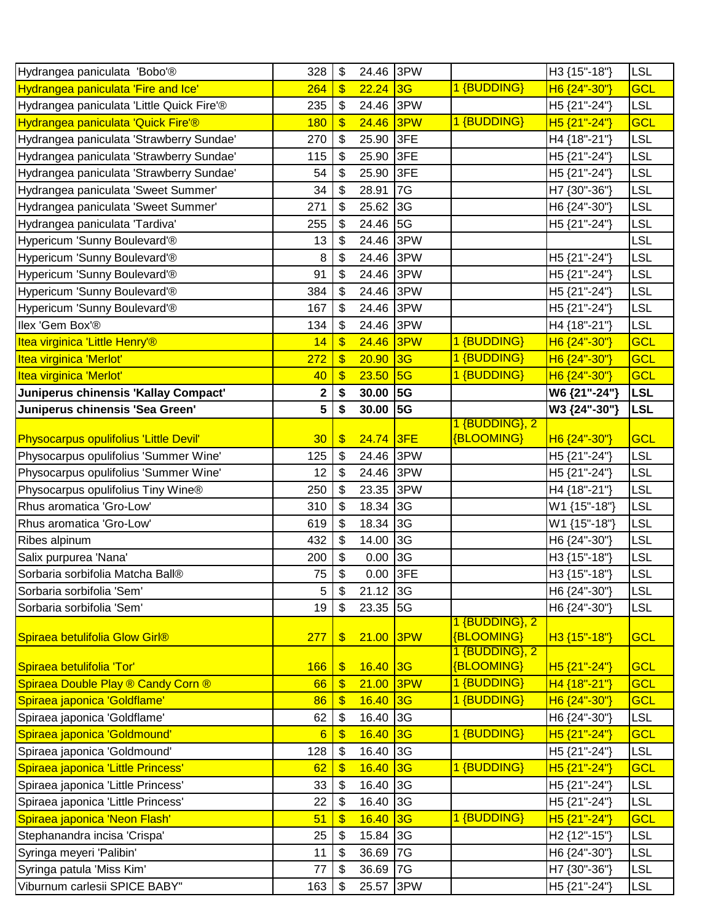| Hydrangea paniculata 'Bobo'®              | 328 | \$                    | 24.46 3PW  |                |                              | H3 {15"-18"}             | <b>LSL</b> |
|-------------------------------------------|-----|-----------------------|------------|----------------|------------------------------|--------------------------|------------|
| Hydrangea paniculata 'Fire and Ice'       | 264 | $\frac{1}{2}$         | $22.24$ 3G |                | 1 {BUDDING}                  | H6 {24"-30"}             | GCL        |
| Hydrangea paniculata 'Little Quick Fire'® | 235 | \$                    | 24.46 3PW  |                |                              | H5 {21"-24"}             | <b>LSL</b> |
| Hydrangea paniculata 'Quick Fire'®        | 180 | $\frac{1}{2}$         | 24.46      | 3PW            | 1 {BUDDING}                  | H <sub>5</sub> {21"-24"} | <b>GCL</b> |
| Hydrangea paniculata 'Strawberry Sundae'  | 270 | \$                    | 25.90 3FE  |                |                              | H4 {18"-21"}             | <b>LSL</b> |
| Hydrangea paniculata 'Strawberry Sundae'  | 115 | \$                    | 25.90      | 3FE            |                              | H5 {21"-24"}             | <b>LSL</b> |
| Hydrangea paniculata 'Strawberry Sundae'  | 54  | \$                    | 25.90      | 3FE            |                              | H5 {21"-24"}             | <b>LSL</b> |
| Hydrangea paniculata 'Sweet Summer'       | 34  | \$                    | 28.91      | 7G             |                              | H7 {30"-36"}             | <b>LSL</b> |
| Hydrangea paniculata 'Sweet Summer'       | 271 | \$                    | 25.62      | 3G             |                              | H6 {24"-30"}             | <b>LSL</b> |
| Hydrangea paniculata 'Tardiva'            | 255 | \$                    | 24.46      | $\overline{5}$ |                              | H5 {21"-24"}             | <b>LSL</b> |
| Hypericum 'Sunny Boulevard'®              | 13  | \$                    | 24.46      | 3PW            |                              |                          | <b>LSL</b> |
| Hypericum 'Sunny Boulevard'®              | 8   | \$                    | 24.46      | 3PW            |                              | H5 {21"-24"}             | <b>LSL</b> |
| Hypericum 'Sunny Boulevard'®              | 91  | \$                    | 24.46 3PW  |                |                              | H5 {21"-24"}             | <b>LSL</b> |
| Hypericum 'Sunny Boulevard'®              | 384 | \$                    | 24.46      | 3PW            |                              | H5 {21"-24"}             | <b>LSL</b> |
| Hypericum 'Sunny Boulevard'®              | 167 | \$                    | 24.46      | 3PW            |                              | H5 {21"-24"}             | <b>LSL</b> |
| Ilex 'Gem Box'®                           | 134 | \$                    | 24.46      | 3PW            |                              | H4 {18"-21"}             | <b>LSL</b> |
| Itea virginica 'Little Henry'®            | 14  | $\frac{1}{2}$         | 24.46      | 3PW            | 1 {BUDDING}                  | H6 {24"-30"}             | <b>GCL</b> |
| Itea virginica 'Merlot'                   | 272 | $\frac{1}{2}$         | 20.90      | 3G             | 1 {BUDDING}                  | H6 {24"-30"}             | <b>GCL</b> |
| Itea virginica 'Merlot'                   | 40  | \$                    | 23.50      | 5G             | 1 {BUDDING}                  | H6 {24"-30"}             | GCL        |
| Juniperus chinensis 'Kallay Compact'      | 2   | \$                    | 30.00      | <b>5G</b>      |                              | W6 {21"-24"}             | <b>LSL</b> |
| Juniperus chinensis 'Sea Green'           | 5   | \$                    | 30.00      | <b>5G</b>      |                              | W3 {24"-30"}             | <b>LSL</b> |
| Physocarpus opulifolius 'Little Devil'    | 30  | $\boldsymbol{\theta}$ | 24.74 3FE  |                | 1 {BUDDING}, 2<br>{BLOOMING} | H6 {24"-30"}             | <b>GCL</b> |
| Physocarpus opulifolius 'Summer Wine'     | 125 | \$                    | 24.46      | 3PW            |                              | H5 {21"-24"}             | <b>LSL</b> |
| Physocarpus opulifolius 'Summer Wine'     | 12  | \$                    | 24.46 3PW  |                |                              | H5 {21"-24"}             | <b>LSL</b> |
| Physocarpus opulifolius Tiny Wine®        | 250 | \$                    | 23.35      | 3PW            |                              | H4 {18"-21"}             | <b>LSL</b> |
| Rhus aromatica 'Gro-Low'                  | 310 | \$                    | 18.34      | 3G             |                              | W1 {15"-18"}             | <b>LSL</b> |
| Rhus aromatica 'Gro-Low'                  | 619 | \$                    | 18.34      | 3G             |                              | W1 {15"-18"}             | <b>LSL</b> |
| Ribes alpinum                             | 432 | \$                    | 14.00      | 3G             |                              | H6 {24"-30"}             | <b>LSL</b> |
| Salix purpurea 'Nana'                     | 200 | \$                    | 0.00       | 3G             |                              | H3 {15"-18"}             | <b>LSL</b> |
| Sorbaria sorbifolia Matcha Ball®          | 75  | \$                    | $0.00$ 3FE |                |                              | H3 {15"-18"}             | <b>LSL</b> |
| Sorbaria sorbifolia 'Sem'                 | 5   | \$                    | 21.12 3G   |                |                              | H6 {24"-30"}             | <b>LSL</b> |
| Sorbaria sorbifolia 'Sem'                 | 19  | \$                    | 23.35 5G   |                |                              | H6 {24"-30"}             | <b>LSL</b> |
|                                           |     |                       |            |                | 1 {BUDDING}, 2<br>{BLOOMING} |                          |            |
| Spiraea betulifolia Glow Girl®            | 277 | $\frac{1}{2}$         | 21.00 3PW  |                | 1 {BUDDING}, 2               | H3 {15"-18"}             | <b>GCL</b> |
| Spiraea betulifolia 'Tor'                 | 166 | $\frac{1}{2}$         | $16.40$ 3G |                | {BLOOMING}                   | H <sub>5</sub> {21"-24"} | <b>GCL</b> |
| Spiraea Double Play ® Candy Corn ®        | 66  | $\frac{1}{2}$         | 21.00      | 3PW            | 1 {BUDDING}                  | H4 {18"-21"}             | <b>GCL</b> |
| Spiraea japonica 'Goldflame'              | 86  | $\boldsymbol{\$}$     | 16.40      | 3G             | 1 {BUDDING}                  | H6 {24"-30"}             | <b>GCL</b> |
| Spiraea japonica 'Goldflame'              | 62  | \$                    | 16.40 3G   |                |                              | H6 {24"-30"}             | <b>LSL</b> |
| Spiraea japonica 'Goldmound'              | 6   | $\mathbf{\$}$         | 16.40      | 3G             | 1 {BUDDING}                  | H <sub>5</sub> {21"-24"} | <b>GCL</b> |
| Spiraea japonica 'Goldmound'              | 128 | \$                    | 16.40      | 3G             |                              | H5 {21"-24"}             | <b>LSL</b> |
| Spiraea japonica 'Little Princess'        | 62  | $\frac{1}{2}$         | 16.40      | 3G             | 1 {BUDDING}                  | H5 {21"-24"}             | <b>GCL</b> |
| Spiraea japonica 'Little Princess'        | 33  | \$                    | 16.40 3G   |                |                              | H5 {21"-24"}             | <b>LSL</b> |
| Spiraea japonica 'Little Princess'        | 22  | \$                    | 16.40 3G   |                |                              | H5 {21"-24"}             | <b>LSL</b> |
| Spiraea japonica 'Neon Flash'             | 51  | \$                    | 16.40      | 3G             | 1 {BUDDING}                  | H <sub>5</sub> {21"-24"} | <b>GCL</b> |
| Stephanandra incisa 'Crispa'              | 25  | \$                    | 15.84 3G   |                |                              | H <sub>2</sub> {12"-15"} | <b>LSL</b> |
| Syringa meyeri 'Palibin'                  | 11  | \$                    | 36.69      | 7G             |                              | H6 {24"-30"}             | <b>LSL</b> |
| Syringa patula 'Miss Kim'                 | 77  | \$                    | 36.69 7G   |                |                              | H7 {30"-36"}             | <b>LSL</b> |
| Viburnum carlesii SPICE BABY"             | 163 | \$                    | 25.57      | 3PW            |                              | H5 {21"-24"}             | <b>LSL</b> |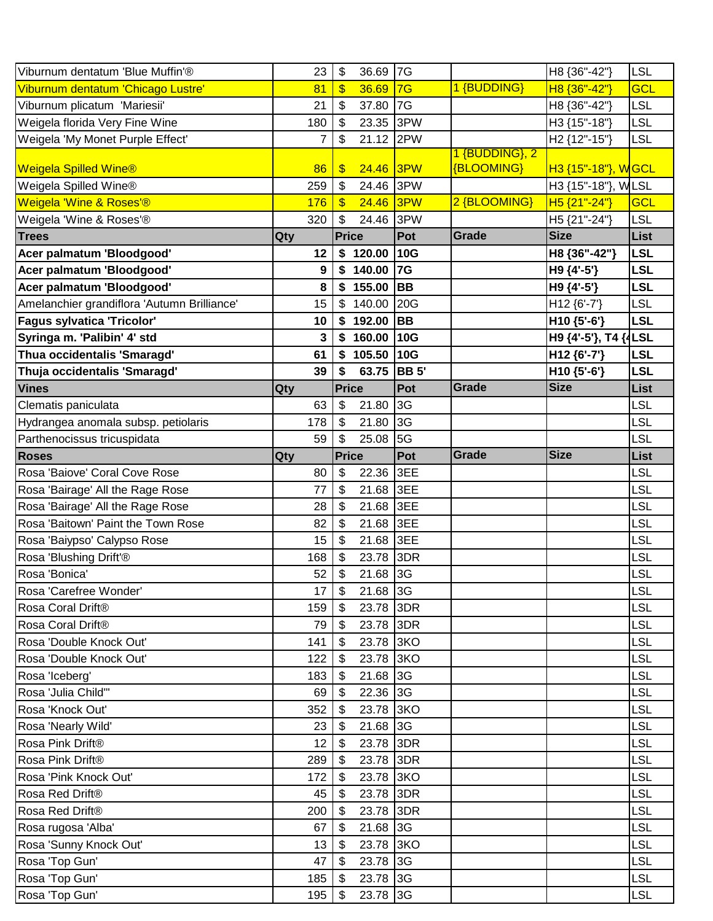| Viburnum dentatum 'Blue Muffin'®            | 23       | $\sqrt[6]{\frac{1}{2}}$<br>36.69 7G    |              |                              | H8 {36"-42"}             | <b>LSL</b> |
|---------------------------------------------|----------|----------------------------------------|--------------|------------------------------|--------------------------|------------|
| Viburnum dentatum 'Chicago Lustre'          | 81       | $\sqrt[6]{3}$<br>36.69                 | 7G           | 1 {BUDDING}                  | H8 {36"-42"}             | <b>GCL</b> |
| Viburnum plicatum 'Mariesii'                | 21       | 37.80<br>\$                            | 7G           |                              | H8 {36"-42"}             | <b>LSL</b> |
| Weigela florida Very Fine Wine              | 180      | 23.35<br>$\boldsymbol{\mathsf{S}}$     | 3PW          |                              | H3 {15"-18"}             | <b>LSL</b> |
| Weigela 'My Monet Purple Effect'            | 7        | \$<br>21.12                            | 2PW          |                              | H <sub>2</sub> {12"-15"} | <b>LSL</b> |
| <b>Weigela Spilled Wine®</b>                | 86       | 24.46 3PW<br>$\sqrt[3]{3}$             |              | 1 {BUDDING}, 2<br>{BLOOMING} | H3 {15"-18"}, WGCL       |            |
| Weigela Spilled Wine®                       | 259      | $\sqrt[6]{\frac{1}{2}}$<br>24.46       | 3PW          |                              | H3 {15"-18"}, WLSL       |            |
| Weigela 'Wine & Roses'®                     | 176      | 24.46<br>$\sqrt[3]{\frac{1}{2}}$       | 3PW          | 2 {BLOOMING}                 | H5 {21"-24"}             | <b>GCL</b> |
| Weigela 'Wine & Roses'®                     | 320      | $\sqrt[6]{\frac{1}{2}}$<br>24.46       | 3PW          |                              | H5 {21"-24"}             | <b>LSL</b> |
| <b>Trees</b>                                | Qty      | <b>Price</b>                           | Pot          | Grade                        | <b>Size</b>              | List       |
| Acer palmatum 'Bloodgood'                   | 12       | \$120.00 10G                           |              |                              | H8 {36"-42"}             | <b>LSL</b> |
| Acer palmatum 'Bloodgood'                   | 9        | $$140.00$ 7G                           |              |                              | H9 {4'-5'}               | <b>LSL</b> |
| Acer palmatum 'Bloodgood'                   | 8        | \$155.00                               | <b>BB</b>    |                              | H9 {4'-5'}               | <b>LSL</b> |
| Amelanchier grandiflora 'Autumn Brilliance' | 15       | 140.00<br>\$                           | $\vert$ 20G  |                              | H12 {6'-7'}              | <b>LSL</b> |
| <b>Fagus sylvatica 'Tricolor'</b>           | 10       | $$192.00$ BB                           |              |                              | H10 {5'-6'}              | <b>LSL</b> |
| Syringa m. 'Palibin' 4' std                 | 3        | \$160.00                               | 10G          |                              | H9 {4'-5'}, T4           | <b>LSL</b> |
| Thua occidentalis 'Smaragd'                 | 61       | $$105.50$ 10G                          |              |                              | H12 {6'-7'}              | <b>LSL</b> |
| Thuja occidentalis 'Smaragd'                | 39       | 63.75<br>\$                            | <b>BB</b> 5' |                              | H10 {5'-6'}              | <b>LSL</b> |
| <b>Vines</b>                                | Qty      | <b>Price</b>                           | Pot          | Grade                        | <b>Size</b>              | List       |
| Clematis paniculata                         | 63       | 21.80<br>$\boldsymbol{\mathsf{S}}$     | 3G           |                              |                          | <b>LSL</b> |
| Hydrangea anomala subsp. petiolaris         | 178      | $\sqrt[6]{\frac{1}{2}}$<br>21.80       | 3G           |                              |                          | LSL        |
| Parthenocissus tricuspidata                 | 59       | \$<br>25.08                            | 5G           |                              |                          | LSL        |
| <b>Roses</b>                                | Qty      | <b>Price</b>                           | Pot          | Grade                        | <b>Size</b>              | List       |
| Rosa 'Baiove' Coral Cove Rose               | 80       | $\sqrt[6]{\frac{1}{2}}$<br>22.36       | 3EE          |                              |                          | LSL        |
| Rosa 'Bairage' All the Rage Rose            | 77       | \$<br>21.68                            | 3EE          |                              |                          | LSL        |
| Rosa 'Bairage' All the Rage Rose            | 28       | 21.68<br>\$                            | 3EE          |                              |                          | <b>LSL</b> |
| Rosa 'Baitown' Paint the Town Rose          | 82       | 21.68<br>\$                            | 3EE          |                              |                          | LSL        |
| Rosa 'Baiypso' Calypso Rose                 | 15       | 21.68<br>$\sqrt[6]{\frac{1}{2}}$       | 3EE          |                              |                          | LSL        |
| Rosa 'Blushing Drift'®                      | 168      | 23.78 3DR<br>\$                        |              |                              |                          | LSL        |
| Rosa 'Bonica'                               | 52       | $\sqrt[6]{\frac{1}{2}}$<br>21.68 3G    |              |                              |                          | <b>LSL</b> |
| Rosa 'Carefree Wonder'                      | 17       | 21.68 3G<br>$\boldsymbol{\mathsf{S}}$  |              |                              |                          | <b>LSL</b> |
| Rosa Coral Drift®                           | 159      | 23.78 3DR<br>\$                        |              |                              |                          | LSL        |
| Rosa Coral Drift®                           | 79       | $\sqrt[6]{3}$<br>23.78 3DR             |              |                              |                          | <b>LSL</b> |
| Rosa 'Double Knock Out'                     | 141      | 23.78 3KO<br>\$                        |              |                              |                          | <b>LSL</b> |
| Rosa 'Double Knock Out'                     | 122      | 23.78 3KO<br>$\boldsymbol{\mathsf{s}}$ |              |                              |                          | <b>LSL</b> |
| Rosa 'Iceberg'                              | 183      | 21.68 3G<br>$\sqrt[6]{\frac{1}{2}}$    |              |                              |                          | <b>LSL</b> |
| Rosa 'Julia Child"                          | 69       | 22.36 3G<br>\$                         |              |                              |                          | LSL        |
| Rosa 'Knock Out'                            | 352      | 23.78 3KO<br>\$                        |              |                              |                          | <b>LSL</b> |
| Rosa 'Nearly Wild'                          | 23       | 21.68 3G<br>\$                         |              |                              |                          | <b>LSL</b> |
| Rosa Pink Drift®                            | 12       | 23.78 3DR<br>$\boldsymbol{\mathsf{s}}$ |              |                              |                          | LSL        |
| Rosa Pink Drift®                            | 289      | 23.78 3DR<br>$\boldsymbol{\mathsf{s}}$ |              |                              |                          | <b>LSL</b> |
| Rosa 'Pink Knock Out'                       | 172      | 23.78 3KO<br>$\mathfrak{F}$            |              |                              |                          | <b>LSL</b> |
| Rosa Red Drift®                             | 45       | 23.78 3DR<br>$\boldsymbol{\mathsf{S}}$ |              |                              |                          | <b>LSL</b> |
| Rosa Red Drift®                             | 200      | 23.78 3DR<br>-\$                       |              |                              |                          | <b>LSL</b> |
| Rosa rugosa 'Alba'                          | 67       | 21.68 3G<br>\$                         |              |                              |                          | <b>LSL</b> |
| Rosa 'Sunny Knock Out'                      | 13       | 23.78 3KO<br>\$                        |              |                              |                          | <b>LSL</b> |
| Rosa 'Top Gun'                              | 47       | 23.78 3G<br>$\mathfrak{F}$             |              |                              |                          | LSL        |
| Rosa 'Top Gun'                              | 185      | 23.78 3G<br>\$                         |              |                              |                          | <b>LSL</b> |
| Rosa 'Top Gun'                              | $195$ \$ | 23.78 3G                               |              |                              |                          | <b>LSL</b> |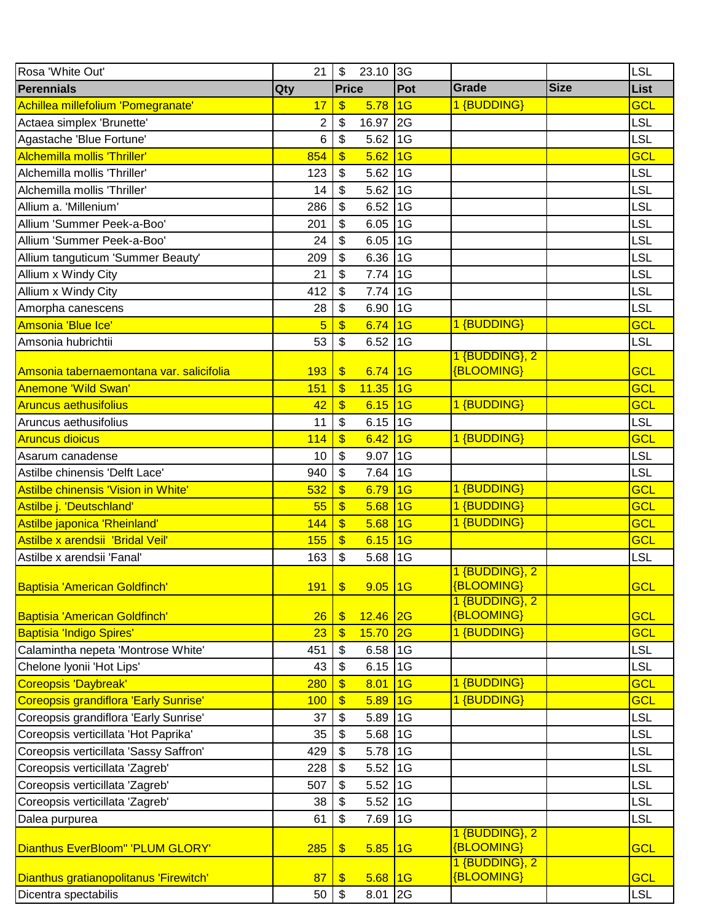| Rosa 'White Out'                         | 21             | $\mathfrak{F}$            | 23.10 3G    |     |                                     |             | <b>LSL</b> |
|------------------------------------------|----------------|---------------------------|-------------|-----|-------------------------------------|-------------|------------|
| <b>Perennials</b>                        | Qty            | <b>Price</b>              |             | Pot | Grade                               | <b>Size</b> | List       |
| Achillea millefolium 'Pomegranate'       | 17             | $\sqrt[6]{3}$             | 5.78        | 1G  | 1 {BUDDING}                         |             | <b>GCL</b> |
| Actaea simplex 'Brunette'                | $\overline{2}$ | \$                        | 16.97       | 2G  |                                     |             | <b>LSL</b> |
| Agastache 'Blue Fortune'                 | 6              | $\boldsymbol{\mathsf{S}}$ | 5.62        | 1G  |                                     |             | LSL        |
| Alchemilla mollis 'Thriller'             | 854            | \$                        | 5.62        | 1G  |                                     |             | <b>GCL</b> |
| Alchemilla mollis 'Thriller'             | 123            | \$                        | 5.62        | 1G  |                                     |             | <b>LSL</b> |
| Alchemilla mollis 'Thriller'             | 14             | \$                        | 5.62        | 1G  |                                     |             | LSL        |
| Allium a. 'Millenium'                    | 286            | \$                        | 6.52        | 1G  |                                     |             | LSL        |
| Allium 'Summer Peek-a-Boo'               | 201            | \$                        | 6.05        | 1G  |                                     |             | <b>LSL</b> |
| Allium 'Summer Peek-a-Boo'               | 24             | $\boldsymbol{\mathsf{S}}$ | 6.05        | 1G  |                                     |             | LSL        |
| Allium tanguticum 'Summer Beauty'        | 209            | \$                        | 6.36        | 1G  |                                     |             | LSL        |
| Allium x Windy City                      | 21             | \$                        | 7.74        | 1G  |                                     |             | <b>LSL</b> |
| Allium x Windy City                      | 412            | \$                        | 7.74        | 1G  |                                     |             | LSL        |
| Amorpha canescens                        | 28             | \$                        | 6.90        | 1G  |                                     |             | <b>LSL</b> |
| Amsonia 'Blue Ice'                       | $\overline{5}$ | $\boldsymbol{\$}$         | 6.74        | 1G  | 1 {BUDDING}                         |             | <b>GCL</b> |
| Amsonia hubrichtii                       | 53             | \$                        | 6.52        | 1G  |                                     |             | <b>LSL</b> |
|                                          |                |                           |             |     | 1 {BUDDING}, 2                      |             |            |
| Amsonia tabernaemontana var. salicifolia | 193            | $\sqrt[6]{3}$             | 6.74        | 1G  | <b>{BLOOMING}</b>                   |             | GCL        |
| <b>Anemone 'Wild Swan'</b>               | 151            | $\boldsymbol{\$}$         | 11.35       | 1G  |                                     |             | GCL        |
| <b>Aruncus aethusifolius</b>             | 42             | $\mathbf{\$}$             | 6.15        | 1G  | 1 {BUDDING}                         |             | <b>GCL</b> |
| Aruncus aethusifolius                    | 11             | $\boldsymbol{\mathsf{S}}$ | 6.15        | 1G  |                                     |             | LSL        |
| <b>Aruncus dioicus</b>                   | 114            | $\frac{1}{2}$             | 6.42        | 1G  | 1 {BUDDING}                         |             | <b>GCL</b> |
| Asarum canadense                         | 10             | \$                        | 9.07        | 1G  |                                     |             | <b>LSL</b> |
| Astilbe chinensis 'Delft Lace'           | 940            | \$                        | 7.64        | 1G  |                                     |             | LSL        |
| Astilbe chinensis 'Vision in White'      | 532            | $\overline{\mathbb{S}}$   | 6.79        | 1G  | 1 {BUDDING}                         |             | <b>GCL</b> |
| Astilbe j. 'Deutschland'                 | 55             | $\boldsymbol{\$}$         | 5.68        | 1G  | 1 {BUDDING}                         |             | <b>GCL</b> |
| Astilbe japonica 'Rheinland'             | 144            | $\boldsymbol{\$}$         | 5.68        | 1G  | 1 {BUDDING}                         |             | <b>GCL</b> |
| Astilbe x arendsii 'Bridal Veil'         | 155            | $\boldsymbol{\$}$         | 6.15        | 1G  |                                     |             | <b>GCL</b> |
| Astilbe x arendsii 'Fanal'               | 163            | \$                        | 5.68        | 1G  |                                     |             | <b>LSL</b> |
|                                          |                |                           |             |     | 1 {BUDDING}, 2                      |             |            |
| Baptisia 'American Goldfinch'            | <b>191</b>     | $\sqrt[6]{\frac{1}{2}}$   | $9.05$ 1G   |     | <b>{BLOOMING}</b>                   |             | <b>GCL</b> |
|                                          |                |                           |             |     | 1 {BUDDING}, 2                      |             |            |
| Baptisia 'American Goldfinch'            | 26             | $\frac{1}{2}$             | $12.46$ 2G  |     | {BLOOMING}<br>1 {BUDDING}           |             | <b>GCL</b> |
| Baptisia 'Indigo Spires'                 | 23             | $\boldsymbol{\$}$         | 15.70       | 2G  |                                     |             | <b>GCL</b> |
| Calamintha nepeta 'Montrose White'       | 451            | \$                        | 6.58        | 1G  |                                     |             | <b>LSL</b> |
| Chelone Iyonii 'Hot Lips'                | 43             | $\boldsymbol{\mathsf{S}}$ | 6.15        | 1G  |                                     |             | <b>LSL</b> |
| Coreopsis 'Daybreak'                     | 280            | \$                        | 8.01        | 1G  | 1 {BUDDING}                         |             | <b>GCL</b> |
| Coreopsis grandiflora 'Early Sunrise'    | 100            | $\boldsymbol{\$}$         | 5.89        | 1G  | 1 {BUDDING}                         |             | <b>GCL</b> |
| Coreopsis grandiflora 'Early Sunrise'    | 37             | $\boldsymbol{\mathsf{S}}$ | 5.89        | 1G  |                                     |             | <b>LSL</b> |
| Coreopsis verticillata 'Hot Paprika'     | 35             | \$                        | 5.68        | 1G  |                                     |             | <b>LSL</b> |
| Coreopsis verticillata 'Sassy Saffron'   | 429            | \$                        | 5.78        | 1G  |                                     |             | LSL        |
| Coreopsis verticillata 'Zagreb'          | 228            | \$                        | 5.52        | 1G  |                                     |             | <b>LSL</b> |
| Coreopsis verticillata 'Zagreb'          | 507            | \$                        | 5.52        | 1G  |                                     |             | <b>LSL</b> |
| Coreopsis verticillata 'Zagreb'          | 38             | $\boldsymbol{\mathsf{S}}$ | 5.52        | 1G  |                                     |             | <b>LSL</b> |
| Dalea purpurea                           | 61             | \$                        | 7.69        | 1G  |                                     |             | <b>LSL</b> |
| Dianthus EverBloom" 'PLUM GLORY'         | 285            | \$                        | 5.85        | 1G  | 1 {BUDDING}, 2<br><b>{BLOOMING}</b> |             | <b>GCL</b> |
|                                          |                |                           |             |     | 1 {BUDDING}, 2                      |             |            |
| Dianthus gratianopolitanus 'Firewitch'   | 87             | $\frac{1}{2}$             | $5.68$   1G |     | <b>{BLOOMING}</b>                   |             | <b>GCL</b> |
| Dicentra spectabilis                     | 50             | $\sqrt[6]{\frac{1}{2}}$   | $8.01$ 2G   |     |                                     |             | <b>LSL</b> |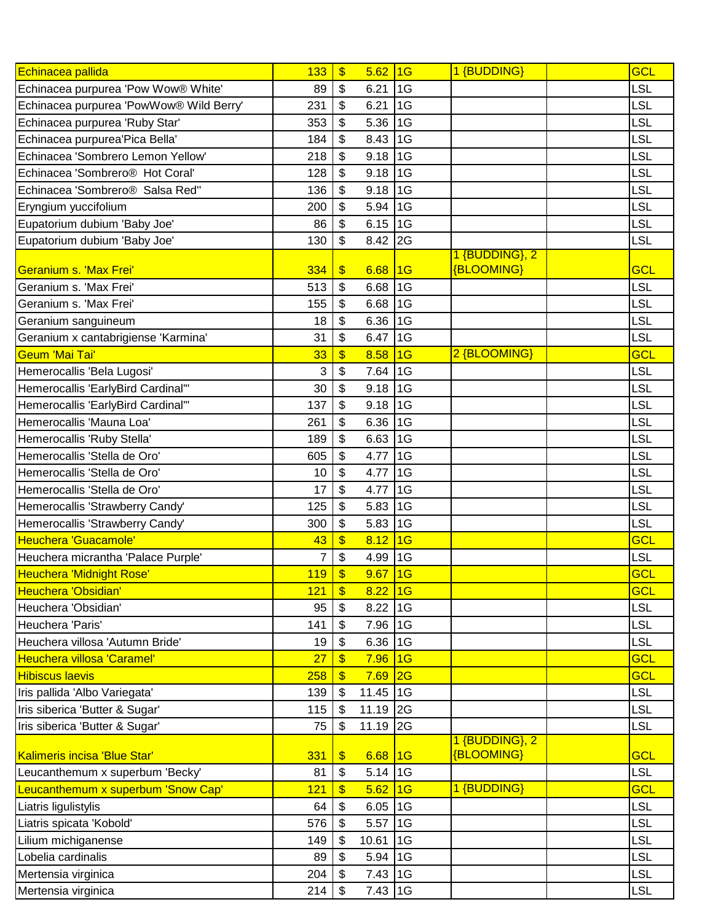| Echinacea pallida                           | 133 | $\boldsymbol{\$}$        | $5.62$ 1G   |    | 1 {BUDDING}       | <b>GCL</b> |
|---------------------------------------------|-----|--------------------------|-------------|----|-------------------|------------|
| Echinacea purpurea 'Pow Wow® White'         | 89  | \$                       | 6.21        | 16 |                   | <b>LSL</b> |
| Echinacea purpurea 'PowWow® Wild Berry'     | 231 | \$                       | 6.21        | 1G |                   | <b>LSL</b> |
| Echinacea purpurea 'Ruby Star'              | 353 | \$                       | 5.36        | 1G |                   | LSL        |
| Echinacea purpurea'Pica Bella'              | 184 | \$                       | 8.43        | 1G |                   | <b>LSL</b> |
| Echinacea 'Sombrero Lemon Yellow'           | 218 | \$                       | $9.18$ 1G   |    |                   | <b>LSL</b> |
| Echinacea 'Sombrero <sup>®</sup> Hot Coral' | 128 | \$                       | 9.18        | 1G |                   | LSL        |
| Echinacea 'Sombrero <sup>®</sup> Salsa Red" | 136 | \$                       | 9.18        | 1G |                   | LSL        |
| Eryngium yuccifolium                        | 200 | \$                       | 5.94 1G     |    |                   | LSL        |
| Eupatorium dubium 'Baby Joe'                | 86  | \$                       | 6.15        | 1G |                   | LSL        |
| Eupatorium dubium 'Baby Joe'                | 130 | \$                       | $8.42$ 2G   |    |                   | LSL        |
|                                             |     |                          |             |    | 1 {BUDDING}, 2    |            |
| <b>Geranium s. 'Max Frei'</b>               | 334 | \$                       | 6.68        | 16 | {BLOOMING}        | <b>GCL</b> |
| Geranium s. 'Max Frei'                      | 513 | \$                       | 6.68        | 1G |                   | <b>LSL</b> |
| Geranium s. 'Max Frei'                      | 155 | \$                       | $6.68$ 1G   |    |                   | LSL        |
| Geranium sanguineum                         | 18  | \$                       | 6.36        | 1G |                   | <b>LSL</b> |
| Geranium x cantabrigiense 'Karmina'         | 31  | \$                       | 6.47        | 1G |                   | LSL        |
| <b>Geum 'Mai Tai'</b>                       | 33  | \$                       | 8.58        | 1G | 2 {BLOOMING}      | <b>GCL</b> |
| Hemerocallis 'Bela Lugosi'                  | 3   | \$                       | 7.64        | 1G |                   | LSL        |
| Hemerocallis 'EarlyBird Cardinal'"          | 30  | \$                       | $9.18$ 1G   |    |                   | LSL        |
| Hemerocallis 'EarlyBird Cardinal'"          | 137 | \$                       | 9.18        | 1G |                   | LSL        |
| Hemerocallis 'Mauna Loa'                    | 261 | \$                       | 6.36        | 1G |                   | LSL        |
| Hemerocallis 'Ruby Stella'                  | 189 | \$                       | 6.63        | 1G |                   | LSL        |
| Hemerocallis 'Stella de Oro'                | 605 | \$                       | 4.77        | 1G |                   | LSL        |
| Hemerocallis 'Stella de Oro'                | 10  | \$                       | 4.77        | 1G |                   | LSL        |
| Hemerocallis 'Stella de Oro'                | 17  | \$                       | 4.77        | 1G |                   | <b>LSL</b> |
| Hemerocallis 'Strawberry Candy'             | 125 | \$                       | 5.83        | 1G |                   | LSL        |
| Hemerocallis 'Strawberry Candy'             | 300 | \$                       | 5.83        | 1G |                   | LSL        |
| Heuchera 'Guacamole'                        | 43  | $\overline{\mathcal{L}}$ | 8.12        | 1G |                   | <b>GCL</b> |
| Heuchera micrantha 'Palace Purple'          | 7   | \$                       | 4.99        | 1G |                   | <b>LSL</b> |
| Heuchera 'Midnight Rose'                    | 119 | \$                       | 9.67        | 1G |                   | <b>GCL</b> |
| Heuchera 'Obsidian'                         | 121 | \$                       | $8.22$ 1G   |    |                   | <b>GCL</b> |
| Heuchera 'Obsidian'                         | 95  | \$                       | 8.22        | 1G |                   | LSL        |
| Heuchera 'Paris'                            | 141 | \$                       | 7.96 1G     |    |                   | <b>LSL</b> |
| Heuchera villosa 'Autumn Bride'             | 19  | \$                       | 6.36        | 1G |                   | <b>LSL</b> |
| Heuchera villosa 'Caramel'                  | 27  | \$                       | 7.96        | 16 |                   | <b>GCL</b> |
| <b>Hibiscus laevis</b>                      | 258 | \$                       | $7.69$ 2G   |    |                   | <b>GCL</b> |
| Iris pallida 'Albo Variegata'               | 139 | \$                       | 11.45 1G    |    |                   | <b>LSL</b> |
| Iris siberica 'Butter & Sugar'              | 115 | \$                       | 11.19 2G    |    |                   | <b>LSL</b> |
| Iris siberica 'Butter & Sugar'              | 75  | \$                       | 11.19 2G    |    |                   | <b>LSL</b> |
|                                             |     |                          |             |    | 1 {BUDDING}, 2    |            |
| Kalimeris incisa 'Blue Star'                | 331 | $\frac{1}{2}$            | $6.68$   1G |    | <b>{BLOOMING}</b> | <b>GCL</b> |
| Leucanthemum x superbum 'Becky'             | 81  | \$                       | $5.14$ 1G   |    |                   | <b>LSL</b> |
| Leucanthemum x superbum 'Snow Cap'          | 121 | \$                       | 5.62        | 1G | 1 {BUDDING}       | <b>GCL</b> |
| Liatris ligulistylis                        | 64  | \$                       | $6.05$ 1G   |    |                   | LSL        |
| Liatris spicata 'Kobold'                    | 576 | \$                       | 5.57        | 1G |                   | <b>LSL</b> |
| Lilium michiganense                         | 149 | \$                       | 10.61       | 1G |                   | <b>LSL</b> |
| Lobelia cardinalis                          | 89  | \$                       | 5.94 1G     |    |                   | <b>LSL</b> |
| Mertensia virginica                         | 204 | \$                       | $7.43$ 1G   |    |                   | LSL        |
| Mertensia virginica                         | 214 | \$                       | 7.43 1G     |    |                   | <b>LSL</b> |
|                                             |     |                          |             |    |                   |            |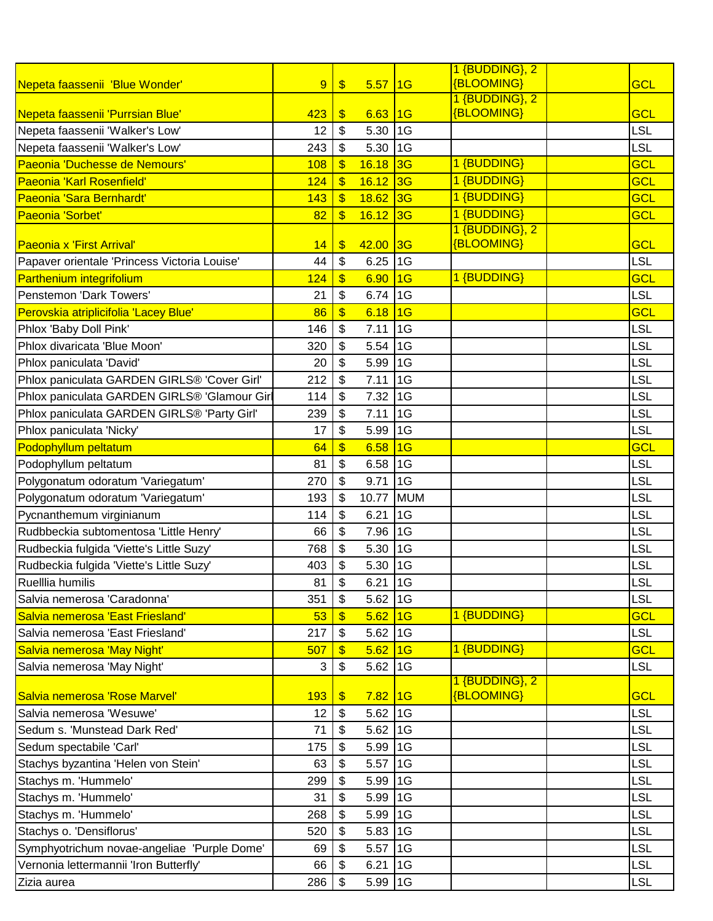|                                              |     |                         |             |            | 1 {BUDDING}, 2    |            |
|----------------------------------------------|-----|-------------------------|-------------|------------|-------------------|------------|
| Nepeta faassenii 'Blue Wonder'               | 9   | $\frac{1}{2}$           | 5.57        | 16         | <b>{BLOOMING}</b> | GCL        |
|                                              |     |                         |             |            | 1 {BUDDING}, 2    |            |
| Nepeta faassenii 'Purrsian Blue'             | 423 | \$                      | 6.63        | 11G        | <b>{BLOOMING}</b> | <b>GCL</b> |
| Nepeta faassenii 'Walker's Low'              | 12  | \$                      | 5.30        | 1G         |                   | <b>LSL</b> |
| Nepeta faassenii 'Walker's Low'              | 243 | \$                      | 5.30        | 1G         |                   | <b>LSL</b> |
| Paeonia 'Duchesse de Nemours'                | 108 | $\boldsymbol{\$}$       | 16.18       | 3G         | 1 {BUDDING}       | GCL        |
| Paeonia 'Karl Rosenfield'                    | 124 | $\boldsymbol{\$}$       | 16.12       | 3G         | 1 {BUDDING}       | <b>GCL</b> |
| Paeonia 'Sara Bernhardt'                     | 143 | $\sqrt[6]{\frac{1}{2}}$ | 18.62 3G    |            | 1 {BUDDING}       | <b>GCL</b> |
| Paeonia 'Sorbet'                             | 82  | $\boldsymbol{\$}$       | 16.12       | 3G         | 1 {BUDDING}       | <b>GCL</b> |
|                                              |     |                         |             |            | 1 {BUDDING}, 2    |            |
| <b>Paeonia x 'First Arrival'</b>             | 14  | \$                      | 42.00       | 3G         | <b>{BLOOMING}</b> | <b>GCL</b> |
| Papaver orientale 'Princess Victoria Louise' | 44  | \$                      | 6.25        | 1G         |                   | <b>LSL</b> |
| <b>Parthenium integrifolium</b>              | 124 | $\frac{1}{2}$           | 6.90        | 16         | 1 {BUDDING}       | <b>GCL</b> |
| Penstemon 'Dark Towers'                      | 21  | \$                      | 6.74        | 1G         |                   | <b>LSL</b> |
| Perovskia atriplicifolia 'Lacey Blue'        | 86  | \$                      | 6.18        | 16         |                   | <b>GCL</b> |
| Phlox 'Baby Doll Pink'                       | 146 | \$                      | 7.11        | 1G         |                   | <b>LSL</b> |
| Phlox divaricata 'Blue Moon'                 | 320 | \$                      | 5.54        | 1G         |                   | <b>LSL</b> |
| Phlox paniculata 'David'                     | 20  | \$                      | 5.99        | 1G         |                   | <b>LSL</b> |
| Phlox paniculata GARDEN GIRLS® 'Cover Girl'  | 212 | \$                      | 7.11        | 1G         |                   | <b>LSL</b> |
| Phlox paniculata GARDEN GIRLS® 'Glamour Girl | 114 | \$                      | 7.32        | 1G         |                   | <b>LSL</b> |
| Phlox paniculata GARDEN GIRLS® 'Party Girl'  | 239 | \$                      | 7.11        | 1G         |                   | <b>LSL</b> |
| Phlox paniculata 'Nicky'                     | 17  | \$                      | 5.99        | 1G         |                   | <b>LSL</b> |
| Podophyllum peltatum                         | 64  | $\overline{\mathbb{S}}$ | 6.58        | 1G         |                   | <b>GCL</b> |
| Podophyllum peltatum                         | 81  | \$                      | 6.58        | 1G         |                   | <b>LSL</b> |
| Polygonatum odoratum 'Variegatum'            | 270 | \$                      | 9.71        | 1G         |                   | <b>LSL</b> |
| Polygonatum odoratum 'Variegatum'            | 193 | \$                      | 10.77       | <b>MUM</b> |                   | <b>LSL</b> |
| Pycnanthemum virginianum                     | 114 | \$                      | 6.21        | 1G         |                   | <b>LSL</b> |
| Rudbbeckia subtomentosa 'Little Henry'       | 66  | \$                      | 7.96        | 1G         |                   | <b>LSL</b> |
| Rudbeckia fulgida 'Viette's Little Suzy'     | 768 | \$                      | 5.30        | 1G         |                   | <b>LSL</b> |
| Rudbeckia fulgida 'Viette's Little Suzy'     | 403 | \$                      | 5.30        | 1G         |                   | <b>LSL</b> |
|                                              |     |                         |             |            |                   |            |
| Ruelllia humilis                             | 81  | \$                      | $6.21$ 1G   |            |                   | <b>LSL</b> |
| Salvia nemerosa 'Caradonna'                  | 351 | \$                      | 5.62 1G     |            | 1 {BUDDING}       | <b>LSL</b> |
| Salvia nemerosa 'East Friesland'             | 53  | $\boldsymbol{\$}$       | $5.62$ 1G   |            |                   | <b>GCL</b> |
| Salvia nemerosa 'East Friesland'             | 217 | \$                      | $5.62$ 1G   |            |                   | <b>LSL</b> |
| Salvia nemerosa 'May Night'                  | 507 | $\overline{\mathbb{S}}$ | $5.62$ 1G   |            | 1 {BUDDING}       | <b>GCL</b> |
| Salvia nemerosa 'May Night'                  | 3   | \$                      | $5.62$ 1G   |            | 1 {BUDDING}, 2    | <b>LSL</b> |
| Salvia nemerosa 'Rose Marvel'                | 193 | $\sqrt[6]{3}$           | $7.82$ 1G   |            | <b>{BLOOMING}</b> | <b>GCL</b> |
| Salvia nemerosa 'Wesuwe'                     | 12  | \$                      | $5.62$ 1G   |            |                   | <b>LSL</b> |
| Sedum s. 'Munstead Dark Red'                 | 71  | \$                      | 5.62 1G     |            |                   | <b>LSL</b> |
| Sedum spectabile 'Carl'                      | 175 | \$                      | $5.99$ 1G   |            |                   | <b>LSL</b> |
| Stachys byzantina 'Helen von Stein'          | 63  | \$                      | 5.57 1G     |            |                   | <b>LSL</b> |
| Stachys m. 'Hummelo'                         | 299 | \$                      | $5.99$ 1G   |            |                   | <b>LSL</b> |
|                                              | 31  |                         | $5.99$ 1G   |            |                   | <b>LSL</b> |
| Stachys m. 'Hummelo'                         |     | \$                      | $5.99$ 1G   |            |                   | <b>LSL</b> |
| Stachys m. 'Hummelo'                         | 268 | \$                      |             |            |                   |            |
| Stachys o. 'Densiflorus'                     | 520 | \$                      | $5.83$   1G |            |                   | <b>LSL</b> |
| Symphyotrichum novae-angeliae 'Purple Dome'  | 69  | \$                      | $5.57$ 1G   |            |                   | <b>LSL</b> |
| Vernonia lettermannii 'Iron Butterfly'       | 66  | \$                      | 6.21        | 1G         |                   | <b>LSL</b> |
| Zizia aurea                                  | 286 | \$                      | 5.99 1G     |            |                   | <b>LSL</b> |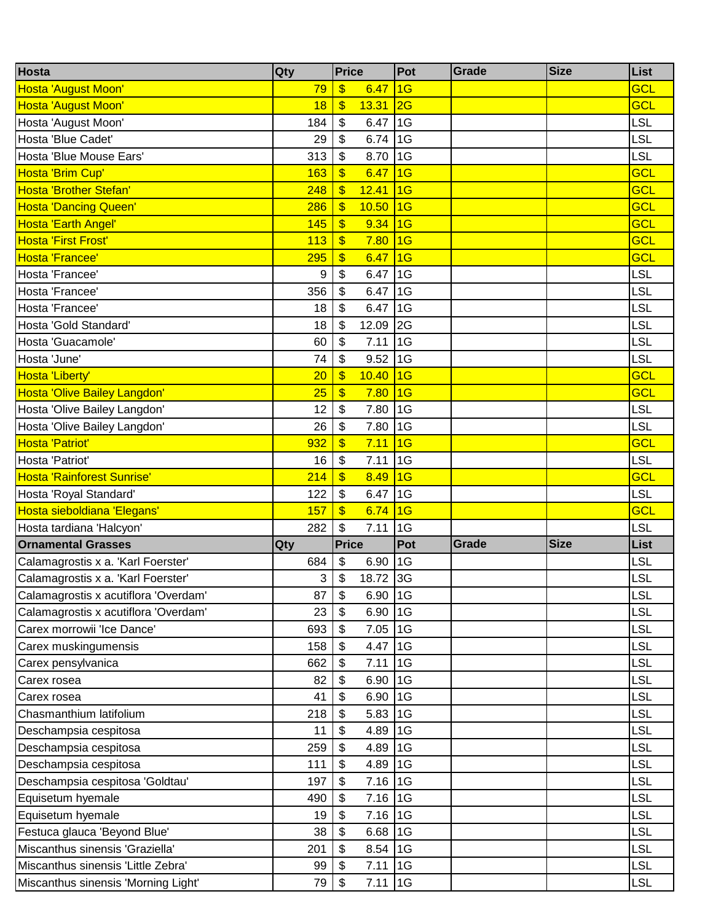| Hosta                                | Qty | <b>Price</b>                       | Pot | Grade | <b>Size</b> | List       |
|--------------------------------------|-----|------------------------------------|-----|-------|-------------|------------|
| Hosta 'August Moon'                  | 79  | \$<br>6.47                         | 1G  |       |             | <b>GCL</b> |
| Hosta 'August Moon'                  | 18  | $\boldsymbol{\$}$<br>13.31         | 2G  |       |             | <b>GCL</b> |
| Hosta 'August Moon'                  | 184 | \$<br>6.47                         | 1G  |       |             | LSL        |
| Hosta 'Blue Cadet'                   | 29  | \$<br>6.74                         | 1G  |       |             | LSL        |
| Hosta 'Blue Mouse Ears'              | 313 | 8.70<br>\$                         | 1G  |       |             | LSL        |
| Hosta 'Brim Cup'                     | 163 | $\boldsymbol{\mathsf{S}}$<br>6.47  | 1G  |       |             | <b>GCL</b> |
| <b>Hosta 'Brother Stefan'</b>        | 248 | $\boldsymbol{\mathsf{S}}$<br>12.41 | 1G  |       |             | <b>GCL</b> |
| <b>Hosta 'Dancing Queen'</b>         | 286 | $\boldsymbol{\$}$<br>10.50         | 1G  |       |             | GCL        |
| Hosta 'Earth Angel'                  | 145 | 9.34<br>\$                         | 1G  |       |             | <b>GCL</b> |
| <b>Hosta 'First Frost'</b>           | 113 | $\mathbf{\$}$<br>7.80              | 1G  |       |             | GCL        |
| Hosta 'Francee'                      | 295 | $\boldsymbol{\$}$<br>6.47          | 1G  |       |             | <b>GCL</b> |
| Hosta 'Francee'                      | 9   | \$<br>6.47                         | 1G  |       |             | LSL        |
| Hosta 'Francee'                      | 356 | \$<br>6.47                         | 1G  |       |             | LSL        |
| Hosta 'Francee'                      | 18  | \$<br>6.47                         | 1G  |       |             | LSL        |
| Hosta 'Gold Standard'                | 18  | \$<br>12.09                        | 2G  |       |             | LSL        |
| Hosta 'Guacamole'                    | 60  | \$<br>7.11                         | 1G  |       |             | <b>LSL</b> |
| Hosta 'June'                         | 74  | \$<br>9.52                         | 1G  |       |             | LSL        |
| Hosta 'Liberty'                      | 20  | $\boldsymbol{\mathsf{S}}$<br>10.40 | 1G  |       |             | <b>GCL</b> |
| <b>Hosta 'Olive Bailey Langdon'</b>  | 25  | $\boldsymbol{\mathsf{S}}$<br>7.80  | 1G  |       |             | GCL        |
| Hosta 'Olive Bailey Langdon'         | 12  | \$<br>7.80                         | 1G  |       |             | LSL        |
| Hosta 'Olive Bailey Langdon'         | 26  | \$<br>7.80                         | 1G  |       |             | LSL        |
| Hosta 'Patriot'                      | 932 | \$<br>7.11                         | 1G  |       |             | GCL        |
| Hosta 'Patriot'                      | 16  | \$<br>7.11                         | 1G  |       |             | <b>LSL</b> |
| Hosta 'Rainforest Sunrise'           | 214 | $\boldsymbol{\mathsf{S}}$<br>8.49  | 1G  |       |             | <b>GCL</b> |
| Hosta 'Royal Standard'               | 122 | \$<br>6.47                         | 1G  |       |             | LSL        |
| Hosta sieboldiana 'Elegans'          | 157 | $\boldsymbol{\mathsf{S}}$<br>6.74  | 1G  |       |             | <b>GCL</b> |
| Hosta tardiana 'Halcyon'             | 282 | \$<br>7.11                         | 1G  |       |             | LSL        |
| <b>Ornamental Grasses</b>            | Qty | <b>Price</b>                       | Pot | Grade | <b>Size</b> | List       |
| Calamagrostis x a. 'Karl Foerster'   | 684 | \$<br>6.90                         | 1G  |       |             | LSL        |
| Calamagrostis x a. 'Karl Foerster'   | 3   | 18.72 3G<br>\$                     |     |       |             | <b>LSL</b> |
| Calamagrostis x acutiflora 'Overdam' | 87  | \$<br>6.90                         | 1G  |       |             | LSL        |
| Calamagrostis x acutiflora 'Overdam' | 23  | \$<br>6.90                         | 1G  |       |             | <b>LSL</b> |
| Carex morrowii 'Ice Dance'           | 693 | \$<br>7.05                         | 1G  |       |             | LSL        |
| Carex muskingumensis                 | 158 | \$<br>4.47                         | 1G  |       |             | LSL        |
| Carex pensylvanica                   | 662 | \$<br>7.11                         | 1G  |       |             | <b>LSL</b> |
| Carex rosea                          | 82  | $\boldsymbol{\mathsf{S}}$<br>6.90  | 1G  |       |             | <b>LSL</b> |
| Carex rosea                          | 41  | \$<br>6.90                         | 1G  |       |             | <b>LSL</b> |
| Chasmanthium latifolium              | 218 | \$<br>5.83                         | 1G  |       |             | <b>LSL</b> |
| Deschampsia cespitosa                | 11  | \$<br>4.89                         | 1G  |       |             | <b>LSL</b> |
| Deschampsia cespitosa                | 259 | \$<br>4.89                         | 1G  |       |             | <b>LSL</b> |
| Deschampsia cespitosa                | 111 | \$<br>4.89                         | 1G  |       |             | <b>LSL</b> |
| Deschampsia cespitosa 'Goldtau'      | 197 | \$<br>7.16                         | 1G  |       |             | <b>LSL</b> |
| Equisetum hyemale                    | 490 | \$<br>7.16                         | 1G  |       |             | LSL        |
| Equisetum hyemale                    | 19  | \$<br>7.16                         | 1G  |       |             | <b>LSL</b> |
| Festuca glauca 'Beyond Blue'         | 38  | \$<br>6.68                         | 1G  |       |             | <b>LSL</b> |
| Miscanthus sinensis 'Graziella'      | 201 | \$<br>8.54                         | 1G  |       |             | LSL        |
| Miscanthus sinensis 'Little Zebra'   | 99  | \$<br>7.11                         | 1G  |       |             | <b>LSL</b> |
| Miscanthus sinensis 'Morning Light'  | 79  | $\sqrt[6]{\frac{1}{2}}$<br>7.11    | 1G  |       |             | <b>LSL</b> |